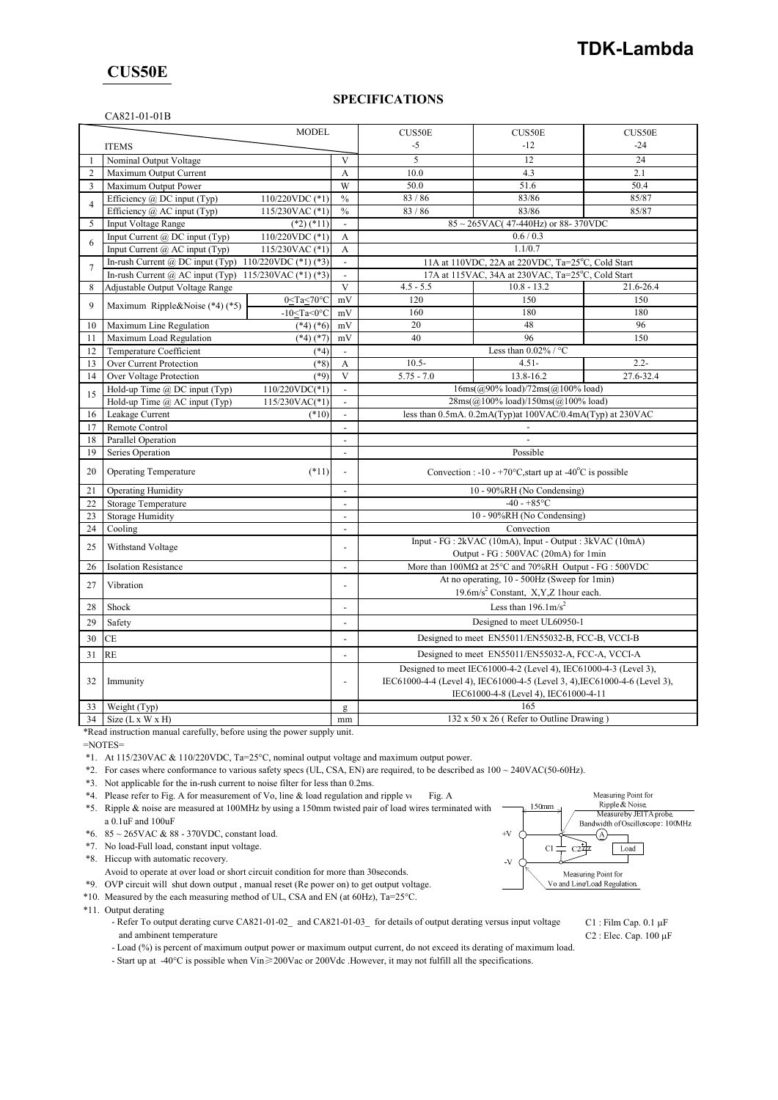## **CUS50E**

## **SPECIFICATIONS**

### CA821-01-01B

| <b>MODEL</b>   |                                                                                             |                  |                          | CUS50E                                                                                           | CUS50E                                                                                 | <b>CUS50E</b> |
|----------------|---------------------------------------------------------------------------------------------|------------------|--------------------------|--------------------------------------------------------------------------------------------------|----------------------------------------------------------------------------------------|---------------|
|                | <b>ITEMS</b>                                                                                |                  |                          | $-5$                                                                                             | $-12$                                                                                  | $-24$         |
| 1              | Nominal Output Voltage                                                                      |                  | V                        | 5                                                                                                | 12                                                                                     | 24            |
| $\overline{2}$ | Maximum Output Current                                                                      |                  | A                        | 10.0                                                                                             | 4.3                                                                                    | 2.1           |
| 3              | Maximum Output Power                                                                        |                  | W                        | 50.0                                                                                             | 51.6                                                                                   | 50.4          |
| $\overline{4}$ | Efficiency $(a)$ DC input (Typ)                                                             | 110/220VDC (*1)  | $\frac{0}{0}$            | 83/86                                                                                            | 83/86                                                                                  | 85/87         |
|                | Efficiency @ AC input (Typ)                                                                 | 115/230VAC (*1)  | $\frac{0}{0}$            | 83/86                                                                                            | 83/86<br>$85 \sim 265$ VAC(47-440Hz) or 88-370VDC                                      | 85/87         |
| 5              | <b>Input Voltage Range</b>                                                                  | $(*2)$ $(*11)$   | L.                       |                                                                                                  |                                                                                        |               |
| 6              | 110/220VDC (*1)<br>Input Current $(a)$ DC input (Typ)<br>115/230VAC (*1)                    |                  | A<br>$\mathbf{A}$        | 0.6 / 0.3<br>1.1/0.7                                                                             |                                                                                        |               |
|                | Input Current $(a)$ AC input (Typ)                                                          |                  | $\overline{\phantom{a}}$ | 11A at 110VDC, 22A at 220VDC, Ta=25°C, Cold Start                                                |                                                                                        |               |
| $\overline{7}$ | In-rush Current @ DC input (Typ) $110/220$ VDC (*1) (*3)                                    |                  | $\overline{\phantom{a}}$ | 17A at 115VAC, 34A at 230VAC, Ta=25°C, Cold Start                                                |                                                                                        |               |
| 8              | In-rush Current @ AC input (Typ)<br>115/230VAC (*1) (*3)<br>Adjustable Output Voltage Range |                  | $\overline{\mathbf{v}}$  | $4.5 - 5.5$                                                                                      | $10.8 - 13.2$                                                                          | 21.6-26.4     |
|                |                                                                                             | $0 < Ta < 70$ °C | mV                       | 120                                                                                              | 150                                                                                    | 150           |
| 9              | Maximum Ripple&Noise (*4) (*5)                                                              | $-10<$ Ta<0°C    | mV                       | 160                                                                                              | 180                                                                                    | 180           |
| 10             | Maximum Line Regulation                                                                     | $(*4)$ $(*6)$    | mV                       | 20                                                                                               | 48                                                                                     | 96            |
| 11             | Maximum Load Regulation                                                                     | $(*4)$ $(*7)$    | mV                       | 40                                                                                               | 96                                                                                     | 150           |
| 12             | Temperature Coefficient<br>$(*4)$                                                           |                  | $\overline{\phantom{a}}$ |                                                                                                  | Less than $0.02\%$ / °C                                                                |               |
| 13             | Over Current Protection                                                                     | $(*8)$           | A                        | $10.5 -$                                                                                         | $4.51 -$                                                                               | $2.2 -$       |
| 14             | Over Voltage Protection                                                                     | $(*9)$           | $\overline{\mathbf{v}}$  | $5.75 - 7.0$                                                                                     | 13.8-16.2                                                                              | 27.6-32.4     |
|                | Hold-up Time @ DC input (Typ)<br>110/220VDC(*1)                                             |                  | $\blacksquare$           |                                                                                                  | $16ms(\omega)90\%$ load)/72ms( $\omega$ 100% load)                                     |               |
| 15             | Hold-up Time @ AC input (Typ)<br>115/230VAC(*1)                                             |                  | $\blacksquare$           | 28ms(@100% load)/150ms(@100% load)                                                               |                                                                                        |               |
| 16             | Leakage Current<br>$(*10)$                                                                  |                  | $\Box$                   | less than 0.5mA. 0.2mA(Typ)at 100VAC/0.4mA(Typ) at 230VAC                                        |                                                                                        |               |
| 17             | Remote Control                                                                              |                  | $\overline{a}$           |                                                                                                  |                                                                                        |               |
| 18             | Parallel Operation                                                                          |                  | $\overline{\phantom{a}}$ |                                                                                                  |                                                                                        |               |
| 19             | Series Operation                                                                            |                  | $\overline{a}$           | Possible                                                                                         |                                                                                        |               |
| 20             | <b>Operating Temperature</b><br>$(*11)$                                                     |                  | $\blacksquare$           |                                                                                                  | Convection : -10 - +70 $\rm{^{\circ}C}$ , start up at -40 $\rm{^{\circ}C}$ is possible |               |
| 21             | <b>Operating Humidity</b>                                                                   |                  | $\overline{\phantom{a}}$ | 10 - 90%RH (No Condensing)                                                                       |                                                                                        |               |
| 22             | Storage Temperature                                                                         |                  | $\overline{a}$           | $-40 - +85$ °C                                                                                   |                                                                                        |               |
| 23             | <b>Storage Humidity</b>                                                                     |                  | $\overline{a}$           | 10 - 90%RH (No Condensing)                                                                       |                                                                                        |               |
| 24             | Cooling                                                                                     |                  | $\sim$                   | Convection                                                                                       |                                                                                        |               |
| 25             | Withstand Voltage                                                                           |                  | $\overline{a}$           | Input - FG : 2kVAC (10mA), Input - Output : 3kVAC (10mA)                                         |                                                                                        |               |
|                |                                                                                             |                  |                          | Output - FG : 500VAC (20mA) for 1min                                                             |                                                                                        |               |
| 26             | <b>Isolation Resistance</b>                                                                 |                  | $\overline{a}$           | More than 100MΩ at 25°C and 70%RH Output - FG : 500VDC                                           |                                                                                        |               |
| 27             | Vibration                                                                                   |                  | $\overline{\phantom{a}}$ | At no operating, 10 - 500Hz (Sweep for 1min)<br>19.6m/s <sup>2</sup> Constant, X,Y,Z 1hour each. |                                                                                        |               |
| 28             | Shock                                                                                       |                  | Ĭ.                       | Less than $196.1 \text{m/s}^2$                                                                   |                                                                                        |               |
| 29             | Safety                                                                                      |                  | ÷,                       | Designed to meet UL60950-1                                                                       |                                                                                        |               |
| 30             | СE                                                                                          |                  | ÷,                       | Designed to meet EN55011/EN55032-B, FCC-B, VCCI-B                                                |                                                                                        |               |
| 31             | RE                                                                                          |                  | ÷,                       | Designed to meet EN55011/EN55032-A, FCC-A, VCCI-A                                                |                                                                                        |               |
|                | 32<br>Immunity                                                                              |                  |                          | Designed to meet IEC61000-4-2 (Level 4), IEC61000-4-3 (Level 3),                                 |                                                                                        |               |
|                |                                                                                             |                  | ÷,                       |                                                                                                  | IEC61000-4-4 (Level 4), IEC61000-4-5 (Level 3, 4), IEC61000-4-6 (Level 3),             |               |
|                |                                                                                             |                  |                          |                                                                                                  | IEC61000-4-8 (Level 4), IEC61000-4-11                                                  |               |
| 33             | Weight (Typ)                                                                                |                  |                          | 165                                                                                              |                                                                                        |               |
| 34             | Size (L x W x H)                                                                            |                  | mm                       | 132 x 50 x 26 (Refer to Outline Drawing)                                                         |                                                                                        |               |

\*Read instruction manual carefully, before using the power supply unit.

=NOTES=

\*1. At 115/230VAC & 110/220VDC, Ta=25°C, nominal output voltage and maximum output power.

\*2. For cases where conformance to various safety specs (UL, CSA, EN) are required, to be described as 100 ~ 240VAC(50-60Hz).

\*3. Not applicable for the in-rush current to noise filter for less than 0.2ms.

- \*4. Please refer to Fig. A for measurement of Vo, line & load regulation and ripple vo Fig. A
- \*5. Ripple & noise are measured at 100MHz by using a 150mm twisted pair of load wires terminated with a 0.1uF and 100uF
- \*6. 85 ~ 265VAC & 88 370VDC, constant load.

\*7. No load-Full load, constant input voltage.

\*8. Hiccup with automatic recovery.

Avoid to operate at over load or short circuit condition for more than 30seconds.

\*9. OVP circuit will shut down output , manual reset (Re power on) to get output voltage.

\*10. Measured by the each measuring method of UL, CSA and EN (at 60Hz), Ta=25°C.

\*11. Output derating

- Refer To output derating curve CA821-01-02\_ and CA821-01-03\_ for details of output derating versus input voltage C1 : Film Cap. 0.1 µF and ambinent temperature C2 : Elec. Cap. 100  $\mu$ F
- Load (%) is percent of maximum output power or maximum output current, do not exceed its derating of maximum load.

- Start up at -40°C is possible when Vin≥200Vac or 200Vdc .However, it may not fulfill all the specifications.



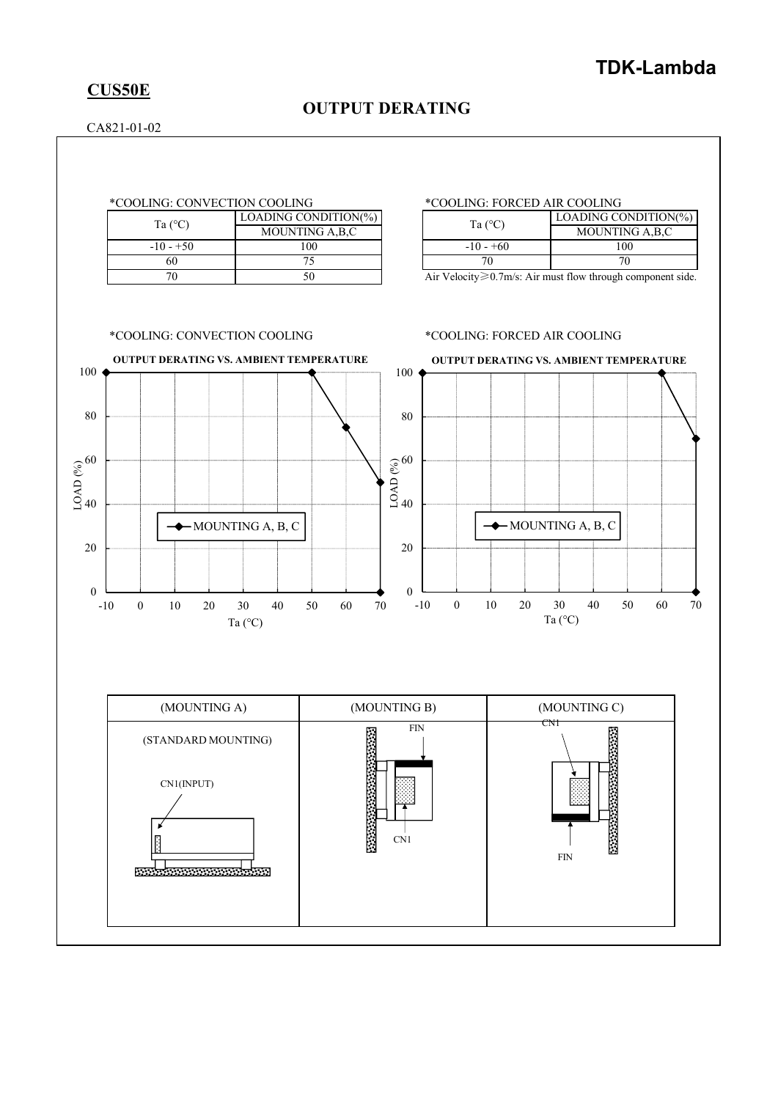# **CUS50E**

# **OUTPUT DERATING**

CA821-01-02

|                  | LOADING CONDITION(%) |
|------------------|----------------------|
| Ta $(^{\circ}C)$ | MOUNTING A, B, C     |
| $-10 - +50$      | 100                  |
|                  | 75                   |
|                  |                      |

## \*COOLING: CONVECTION COOLING \*COOLING: FORCED AIR COOLING

| Ta $(^{\circ}C)$ | LOADING CONDITION(%) |
|------------------|----------------------|
|                  | MOUNTING A,B,C       |
| $-10 - +60$      | 100                  |
|                  | 70                   |

Air Velocity≥0.7m/s: Air must flow through component side.